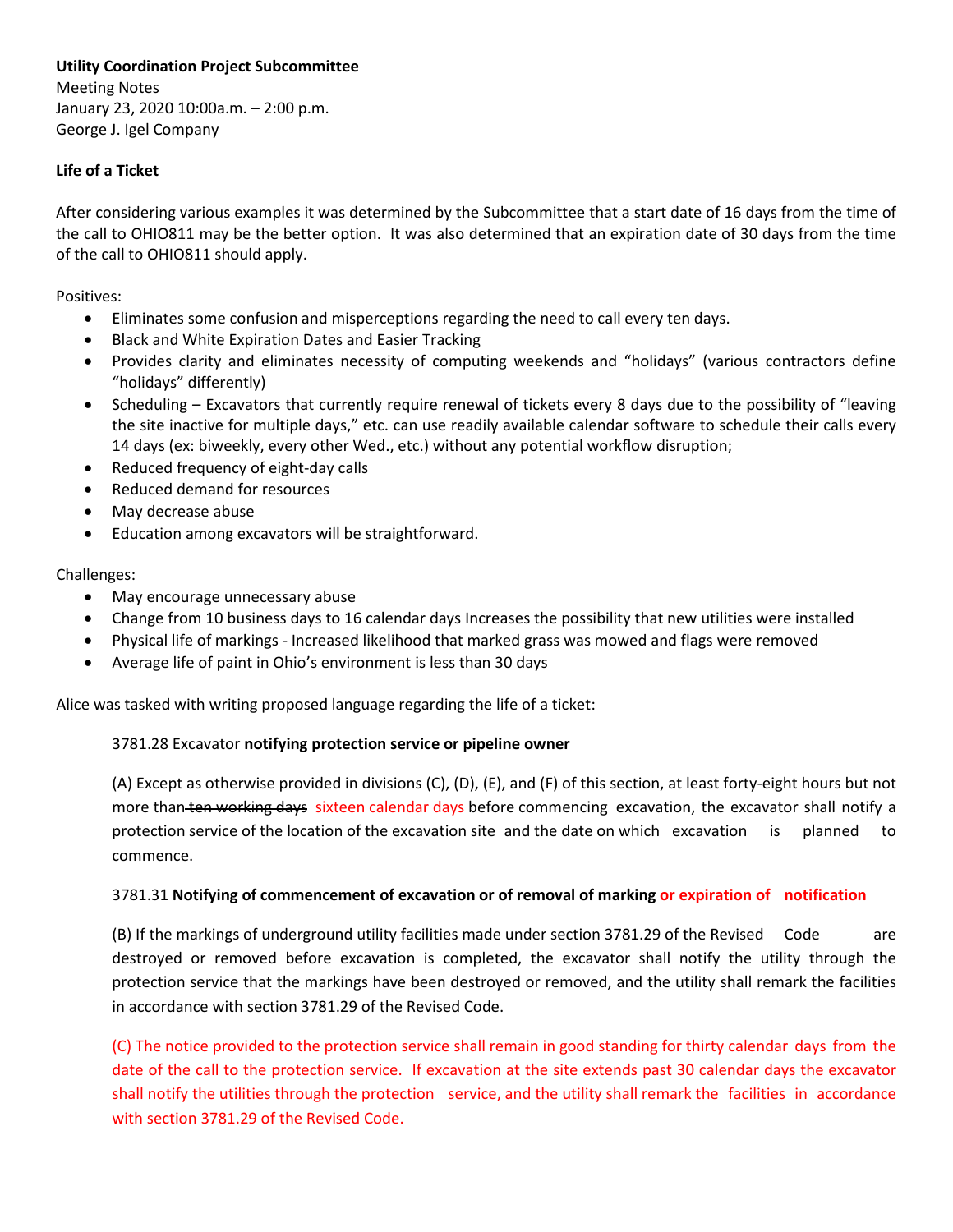## **Utility Coordination Project Subcommittee**

Meeting Notes January 23, 2020 10:00a.m. – 2:00 p.m. George J. Igel Company

## **Life of a Ticket**

After considering various examples it was determined by the Subcommittee that a start date of 16 days from the time of the call to OHIO811 may be the better option. It was also determined that an expiration date of 30 days from the time of the call to OHIO811 should apply.

Positives:

- Eliminates some confusion and misperceptions regarding the need to call every ten days.
- Black and White Expiration Dates and Easier Tracking
- Provides clarity and eliminates necessity of computing weekends and "holidays" (various contractors define "holidays" differently)
- Scheduling Excavators that currently require renewal of tickets every 8 days due to the possibility of "leaving the site inactive for multiple days," etc. can use readily available calendar software to schedule their calls every 14 days (ex: biweekly, every other Wed., etc.) without any potential workflow disruption;
- Reduced frequency of eight-day calls
- Reduced demand for resources
- May decrease abuse
- Education among excavators will be straightforward.

Challenges:

- May encourage unnecessary abuse
- Change from 10 business days to 16 calendar days Increases the possibility that new utilities were installed
- Physical life of markings Increased likelihood that marked grass was mowed and flags were removed
- Average life of paint in Ohio's environment is less than 30 days

Alice was tasked with writing proposed language regarding the life of a ticket:

### 3781.28 Excavator **notifying protection service or pipeline owner**

(A) Except as otherwise provided in divisions (C), (D), (E), and (F) of this section, at least forty-eight hours but not more than ten working days sixteen calendar days before commencing excavation, the excavator shall notify a protection service of the location of the excavation site and the date on which excavation is planned to commence.

### 3781.31 **Notifying of commencement of excavation or of removal of marking or expiration of notification**

(B) If the markings of underground utility facilities made under section 3781.29 of the Revised Code are destroyed or removed before excavation is completed, the excavator shall notify the utility through the protection service that the markings have been destroyed or removed, and the utility shall remark the facilities in accordance with section 3781.29 of the Revised Code.

(C) The notice provided to the protection service shall remain in good standing for thirty calendar days from the date of the call to the protection service. If excavation at the site extends past 30 calendar days the excavator shall notify the utilities through the protection service, and the utility shall remark the facilities in accordance with section 3781.29 of the Revised Code.